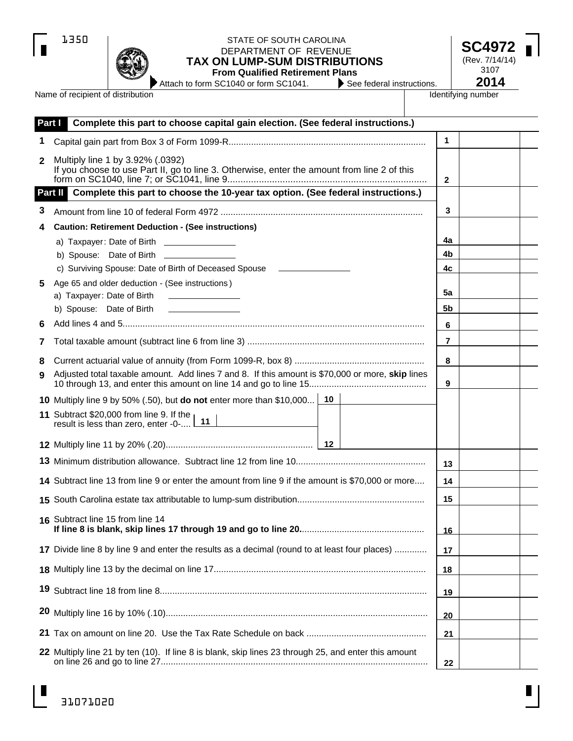|--|

 $\blacksquare$ 



# STATE OF SOUTH CAROLINA STATE OF SOUTH CAROLINA<br>DEPARTMENT OF REVENUE **SC497 TAX ON LUMP-SUM DISTRIBUTIONS**

**From Qualified Retirement Plans**<br>i SC1040 or form SC1041. See federal instructions. Attach to form SC1040 or form SC1041.

(Rev. 7/14/14) 3107<br>**2014** 

Name of recipient of distribution

Identifying number

| Part I | Complete this part to choose capital gain election. (See federal instructions.)                                                 |              |  |
|--------|---------------------------------------------------------------------------------------------------------------------------------|--------------|--|
| 1      |                                                                                                                                 | $\mathbf{1}$ |  |
| 2      | Multiply line 1 by 3.92% (.0392)<br>If you choose to use Part II, go to line 3. Otherwise, enter the amount from line 2 of this | $\mathbf{2}$ |  |
|        | Part II Complete this part to choose the 10-year tax option. (See federal instructions.)                                        |              |  |
| З      |                                                                                                                                 | 3            |  |
| 4      | <b>Caution: Retirement Deduction - (See instructions)</b>                                                                       |              |  |
|        | a) Taxpayer: Date of Birth _________________                                                                                    | 4a           |  |
|        |                                                                                                                                 | 4b           |  |
|        | c) Surviving Spouse: Date of Birth of Deceased Spouse _______________                                                           | 4c           |  |
| 5.     | Age 65 and older deduction - (See instructions)                                                                                 | 5a           |  |
|        | a) Taxpayer: Date of Birth<br><u> The Common School (1999)</u><br>b) Spouse: Date of Birth __________________                   | 5b           |  |
| 6      |                                                                                                                                 | 6            |  |
| 7      |                                                                                                                                 | 7            |  |
|        |                                                                                                                                 |              |  |
| 8<br>9 | Adjusted total taxable amount. Add lines 7 and 8. If this amount is \$70,000 or more, skip lines                                | 8            |  |
|        |                                                                                                                                 | 9            |  |
|        | 10 Multiply line 9 by 50% (.50), but do not enter more than \$10,000 10                                                         |              |  |
|        | 11 Subtract \$20,000 from line 9. If the<br>result is less than zero, enter -0- 11                                              |              |  |
|        |                                                                                                                                 |              |  |
|        |                                                                                                                                 | 13           |  |
|        | 14 Subtract line 13 from line 9 or enter the amount from line 9 if the amount is \$70,000 or more                               | 14           |  |
|        |                                                                                                                                 | 15           |  |
|        | 16 Subtract line 15 from line 14                                                                                                | 16           |  |
|        | 17 Divide line 8 by line 9 and enter the results as a decimal (round to at least four places)                                   | 17           |  |
|        |                                                                                                                                 | 18           |  |
| 19     |                                                                                                                                 | 19           |  |
|        |                                                                                                                                 | 20           |  |
|        |                                                                                                                                 | 21           |  |
|        | 22 Multiply line 21 by ten (10). If line 8 is blank, skip lines 23 through 25, and enter this amount                            | 22           |  |